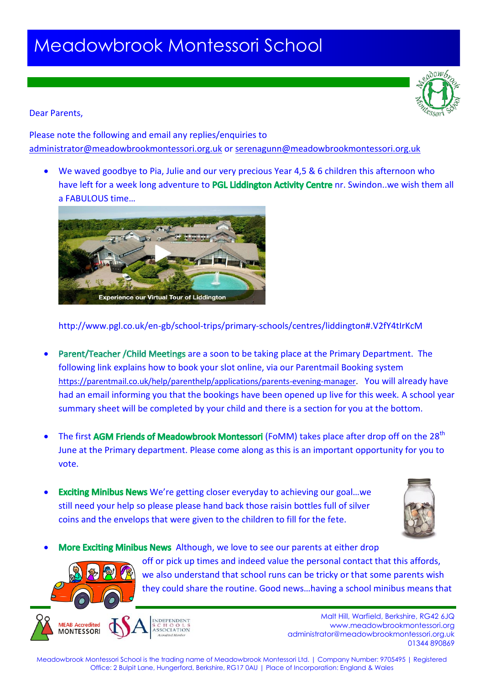# Meadowbrook Montessori School



#### Dear Parents,

Please note the following and email any replies/enquiries to [administrator@meadowbrookmontessori.org.uk](mailto:administrator@meadowbrookmontessori.org.uk) or [serenagunn@meadowbrookmontessori.org.uk](mailto:serenagunn@meadowbrookmontessori.org.uk)

 We waved goodbye to Pia, Julie and our very precious Year 4,5 & 6 children this afternoon who have left for a week long adventure to PGL Liddington Activity Centre nr. Swindon..we wish them all a FABULOUS time…



### http://www.pgl.co.uk/en-gb/school-trips/primary-schools/centres/liddington#.V2fY4tIrKcM

- Parent/Teacher / Child Meetings are a soon to be taking place at the Primary Department. The following link explains how to book your slot online, via our Parentmail Booking system [https://parentmail.co.uk/help/parenthelp/applications/parents-evening-manager.](https://parentmail.co.uk/help/parenthelp/applications/parents-evening-manager) You will already have had an email informing you that the bookings have been opened up live for this week. A school year summary sheet will be completed by your child and there is a section for you at the bottom.
- The first AGM Friends of Meadowbrook Montessori (FoMM) takes place after drop off on the 28<sup>th</sup> June at the Primary department. Please come along as this is an important opportunity for you to vote.
- Exciting Minibus News We're getting closer everyday to achieving our goal...we still need your help so please please hand back those raisin bottles full of silver coins and the envelops that were given to the children to fill for the fete.



More Exciting Minibus News Although, we love to see our parents at either drop off or pick up times and indeed value the personal contact that this affords, we also understand that school runs can be tricky or that some parents wish

they could share the routine. Good news…having a school minibus means that

**MFAR Accredited MONTESSORI** 

**Malt Hill, Warfield, Berkshire, RG42 6JQ** www.meadowbrookmontessori.org [administrator@meadowbrookmontessori.org.uk](mailto:administrator@meadowbrookmontessori.org.uk) 01344 890869

Meadowbrook Montessori School is the trading name of Meadowbrook Montessori Ltd. | Company Number: 9705495 | Registered Office: 2 Bulpit Lane, Hungerford, Berkshire, RG17 0AU | Place of Incorporation: England & Wales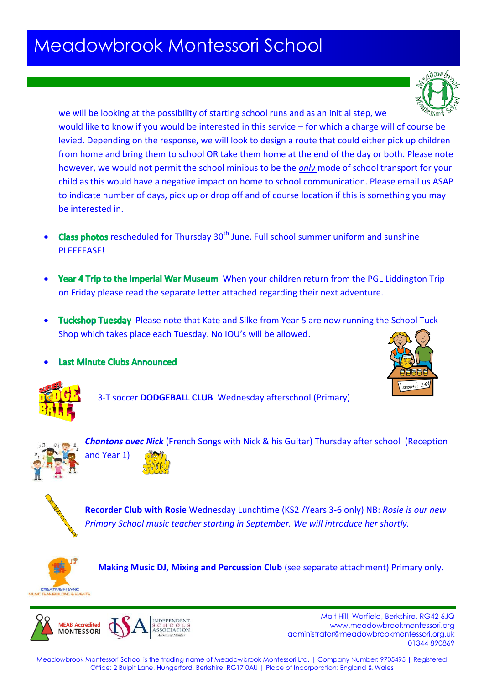### Meadowbrook Montessori School

we will be looking at the possibility of starting school runs and as an initial step, we would like to know if you would be interested in this service – for which a charge will of course be

levied. Depending on the response, we will look to design a route that could either pick up children from home and bring them to school OR take them home at the end of the day or both. Please note however, we would not permit the school minibus to be the *only* mode of school transport for your child as this would have a negative impact on home to school communication. Please email us ASAP to indicate number of days, pick up or drop off and of course location if this is something you may be interested in.

- **Class photos** rescheduled for Thursday 30<sup>th</sup> June. Full school summer uniform and sunshine PLEEEEASE!
- Year 4 Trip to the Imperial War Museum When your children return from the PGL Liddington Trip on Friday please read the separate letter attached regarding their next adventure.
- Tuckshop Tuesday Please note that Kate and Silke from Year 5 are now running the School Tuck Shop which takes place each Tuesday. No IOU's will be allowed.
- **Last Minute Clubs Announced**





3-T soccer **DODGEBALL CLUB** Wednesday afterschool (Primary)



*Chantons avec Nick* (French Songs with Nick & his Guitar) Thursday after school (Reception and Year 1)



**Recorder Club with Rosie** Wednesday Lunchtime (KS2 /Years 3-6 only) NB: *Rosie is our new Primary School music teacher starting in September. We will introduce her shortly.*



**Making Music DJ, Mixing and Percussion Club** (see separate attachment) Primary only.



**Malt Hill, Warfield, Berkshire, RG42 6JQ** www.meadowbrookmontessori.org [administrator@meadowbrookmontessori.org.uk](mailto:administrator@meadowbrookmontessori.org.uk) 01344 890869

Meadowbrook Montessori School is the trading name of Meadowbrook Montessori Ltd. | Company Number: 9705495 | Registered Office: 2 Bulpit Lane, Hungerford, Berkshire, RG17 0AU | Place of Incorporation: England & Wales